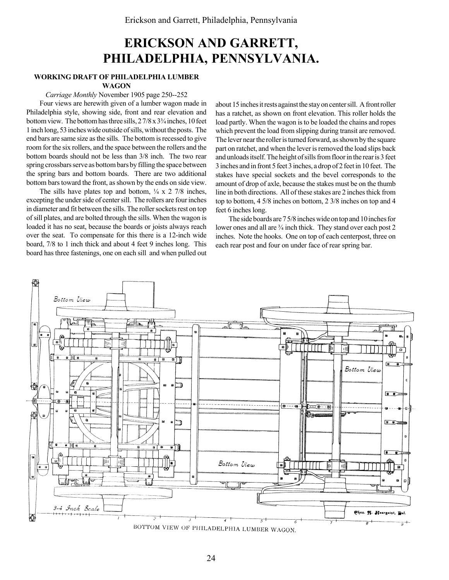# ERICKSON AND GARRETT, PHILADELPHIA, PENNSYLVANIA.

### WORKING DRAFT OF PHILADELPHIA LUMBER

#### WAGON

#### Carriage Monthly November 1905 page 250--252

Four views are herewith given of a lumber wagon made in Philadelphia style, showing side, front and rear elevation and bottom view. The bottom has three sills,  $27/8 \times 3\frac{3}{4}$  inches, 10 feet 1 inch long, 53 inches wide outside of sills, without the posts. The end bars are same size as the sills. The bottom is recessed to give room for the six rollers, and the space between the rollers and the bottom boards should not be less than 3/8 inch. The two rear spring crossbars serve as bottom bars by filling the space between the spring bars and bottom boards. There are two additional bottom bars toward the front, as shown by the ends on side view.

The sills have plates top and bottom,  $\frac{1}{4} \times 2$  7/8 inches, excepting the under side of center sill. The rollers are four inches in diameter and fit between the sills. The roller sockets rest on top of sill plates, and are bolted through the sills. When the wagon is loaded it has no seat, because the boards or joists always reach over the seat. To compensate for this there is a 12-inch wide board, 7/8 to 1 inch thick and about 4 feet 9 inches long. This board has three fastenings, one on each sill and when pulled out

about 15 inches it rests against the stay on center sill. A front roller has a ratchet, as shown on front elevation. This roller holds the load partly. When the wagon is to be loaded the chains and ropes which prevent the load from slipping during transit are removed. The lever near the roller is turned forward, as shown by the square part on ratchet, and when the lever is removed the load slips back and unloads itself. The height of sills from floor in the rear is 3 feet 3 inches and in front 5 feet 3 inches, a drop of 2 feet in 10 feet. The stakes have special sockets and the bevel corresponds to the amount of drop of axle, because the stakes must be on the thumb line in both directions. All of these stakes are 2 inches thick from top to bottom, 4 5/8 inches on bottom, 2 3/8 inches on top and 4 feet 6 inches long.

The side boards are 7 5/8 inches wide on top and 10 inches for lower ones and all are  $\frac{3}{4}$  inch thick. They stand over each post 2 inches. Note the hooks. One on top of each centerpost, three on each rear post and four on under face of rear spring bar.

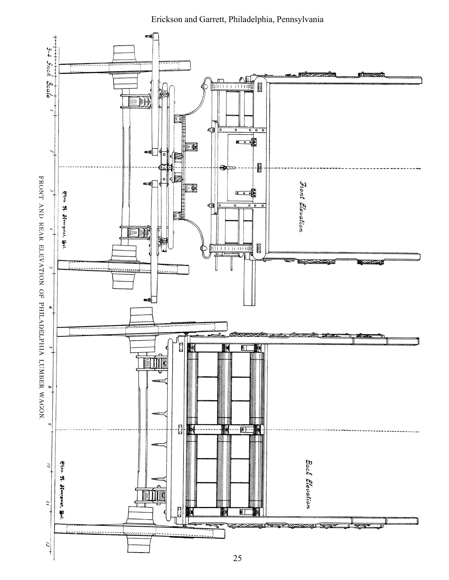Erickson and Garrett, Philadelphia, Pennsylvania

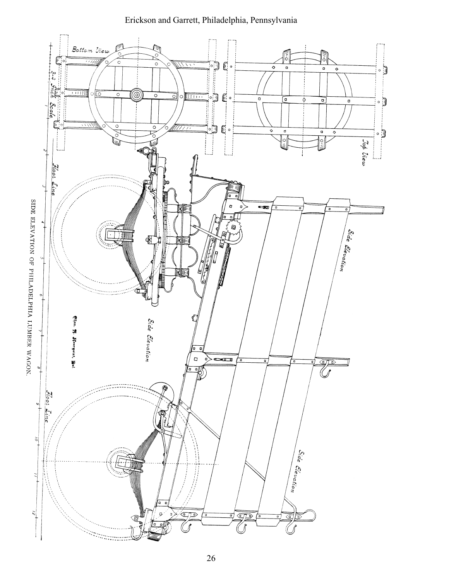

## Erickson and Garrett, Philadelphia, Pennsylvania